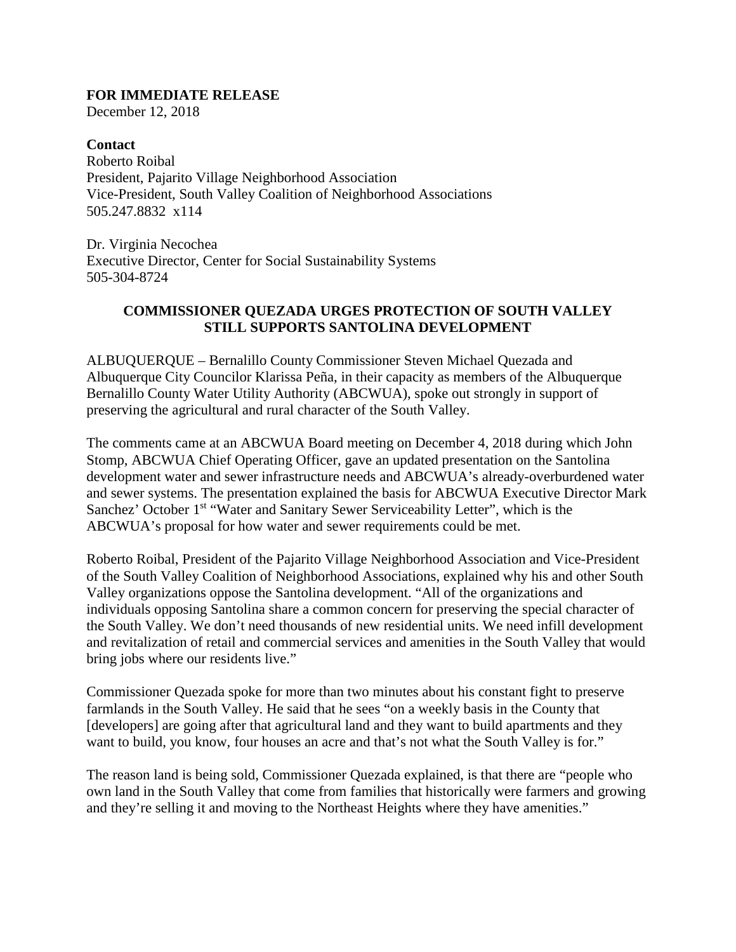## **FOR IMMEDIATE RELEASE**

December 12, 2018

**Contact** Roberto Roibal President, Pajarito Village Neighborhood Association Vice-President, South Valley Coalition of Neighborhood Associations 505.247.8832 x114

Dr. Virginia Necochea Executive Director, Center for Social Sustainability Systems 505-304-8724

## **COMMISSIONER QUEZADA URGES PROTECTION OF SOUTH VALLEY STILL SUPPORTS SANTOLINA DEVELOPMENT**

ALBUQUERQUE – Bernalillo County Commissioner Steven Michael Quezada and Albuquerque City Councilor Klarissa Peña, in their capacity as members of the Albuquerque Bernalillo County Water Utility Authority (ABCWUA), spoke out strongly in support of preserving the agricultural and rural character of the South Valley.

The comments came at an ABCWUA Board meeting on December 4, 2018 during which John Stomp, ABCWUA Chief Operating Officer, gave an updated presentation on the Santolina development water and sewer infrastructure needs and ABCWUA's already-overburdened water and sewer systems. The presentation explained the basis for ABCWUA Executive Director Mark Sanchez' October 1<sup>st</sup> "Water and Sanitary Sewer Serviceability Letter", which is the ABCWUA's proposal for how water and sewer requirements could be met.

Roberto Roibal, President of the Pajarito Village Neighborhood Association and Vice-President of the South Valley Coalition of Neighborhood Associations, explained why his and other South Valley organizations oppose the Santolina development. "All of the organizations and individuals opposing Santolina share a common concern for preserving the special character of the South Valley. We don't need thousands of new residential units. We need infill development and revitalization of retail and commercial services and amenities in the South Valley that would bring jobs where our residents live."

Commissioner Quezada spoke for more than two minutes about his constant fight to preserve farmlands in the South Valley. He said that he sees "on a weekly basis in the County that [developers] are going after that agricultural land and they want to build apartments and they want to build, you know, four houses an acre and that's not what the South Valley is for."

The reason land is being sold, Commissioner Quezada explained, is that there are "people who own land in the South Valley that come from families that historically were farmers and growing and they're selling it and moving to the Northeast Heights where they have amenities."